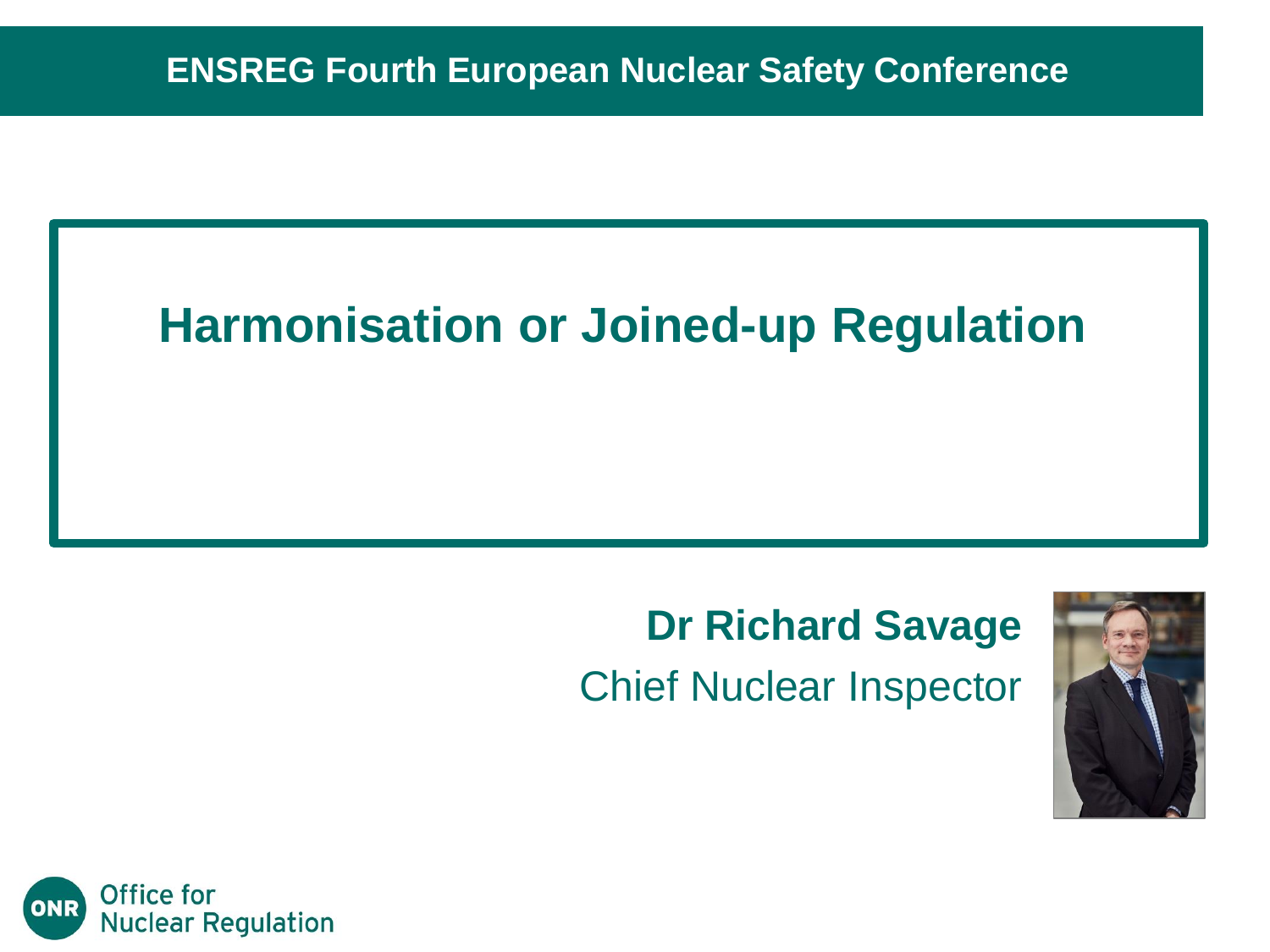#### **Harmonisation or Joined-up Regulation**

#### **Dr Richard Savage** Chief Nuclear Inspector



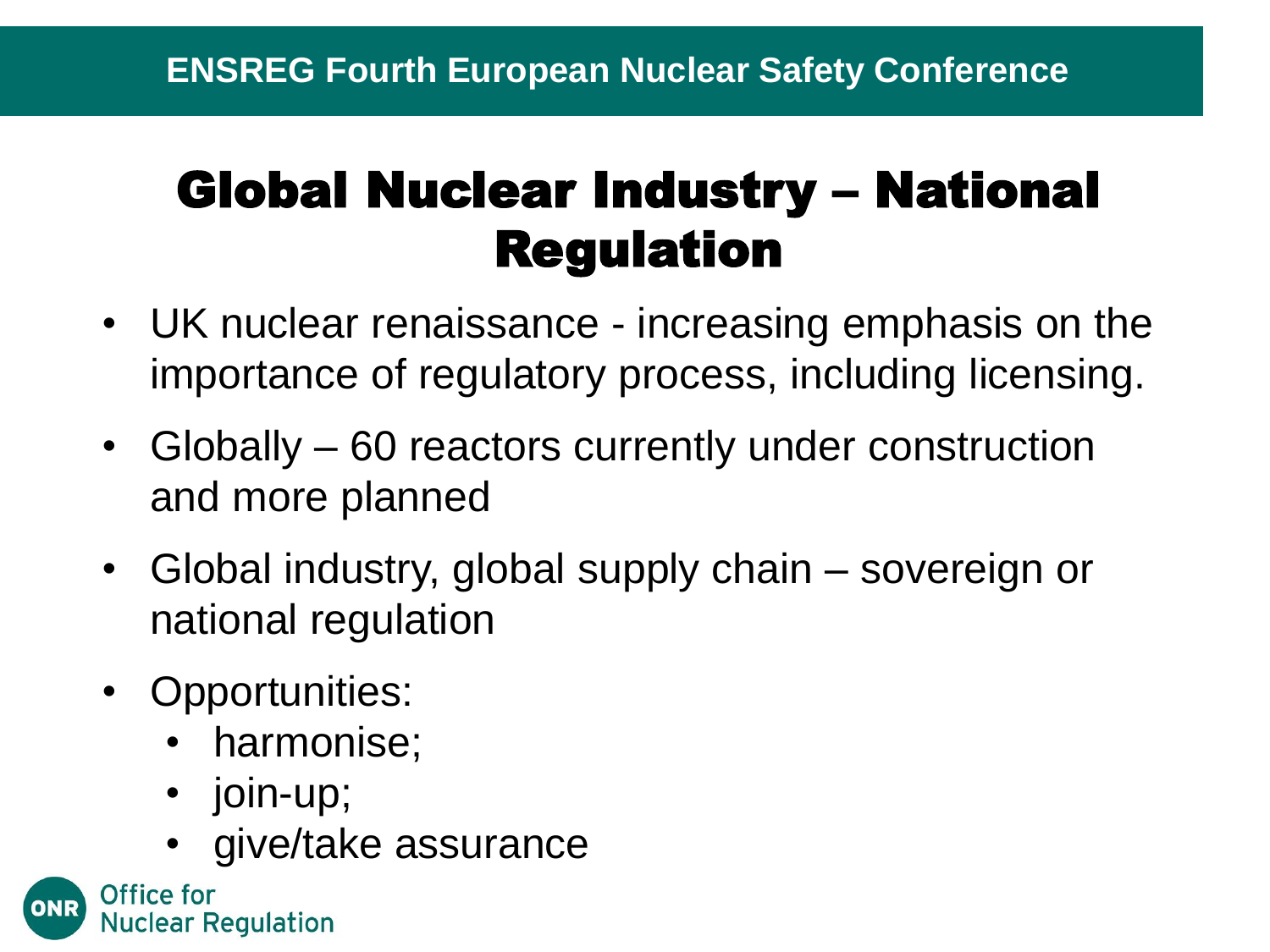### Global Nuclear Industry – National Regulation

- UK nuclear renaissance increasing emphasis on the importance of regulatory process, including licensing.
- Globally 60 reactors currently under construction and more planned
- Global industry, global supply chain sovereign or national regulation
- Opportunities:
	- harmonise;
	- join-up;
	- give/take assurance

Office for **Nuclear Regulation**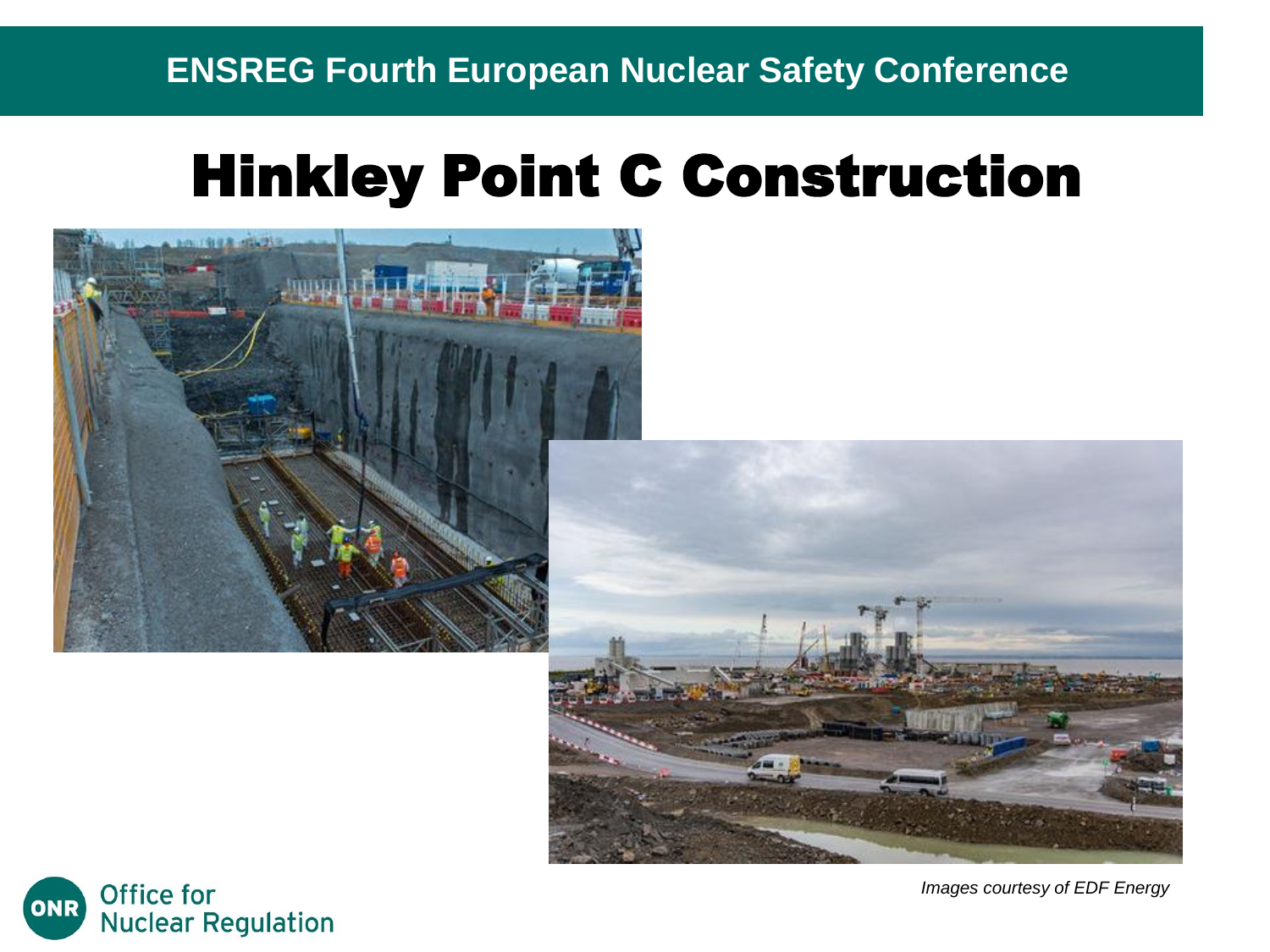#### **ENSREG Fourth European Nuclear Safety Conference**

### Hinkley Point C Construction







*Images courtesy of EDF Energy*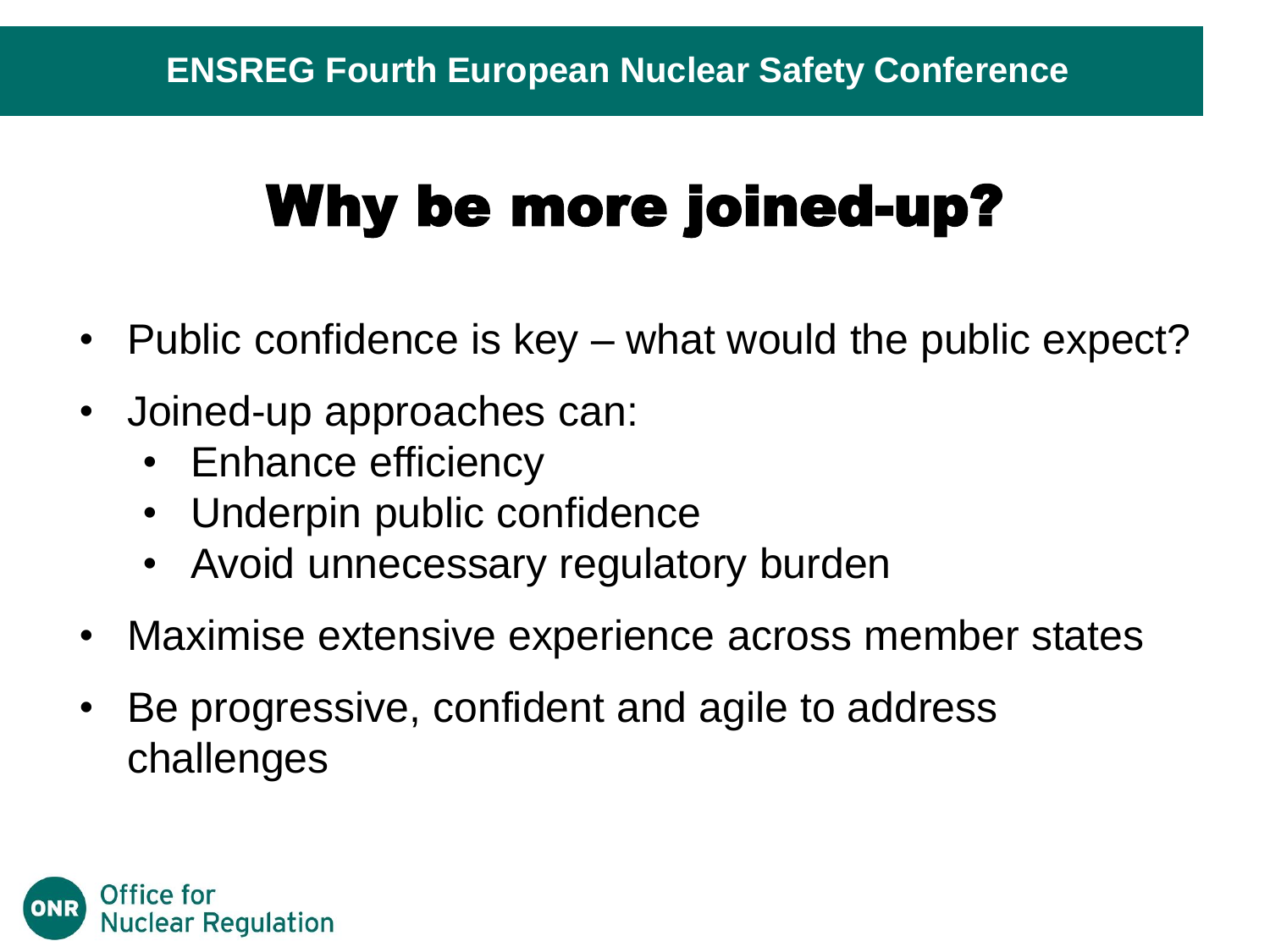# Why be more joined-up?

- Public confidence is key what would the public expect?
- Joined-up approaches can:
	- Enhance efficiency
	- Underpin public confidence
	- Avoid unnecessary regulatory burden
- Maximise extensive experience across member states
- Be progressive, confident and agile to address challenges

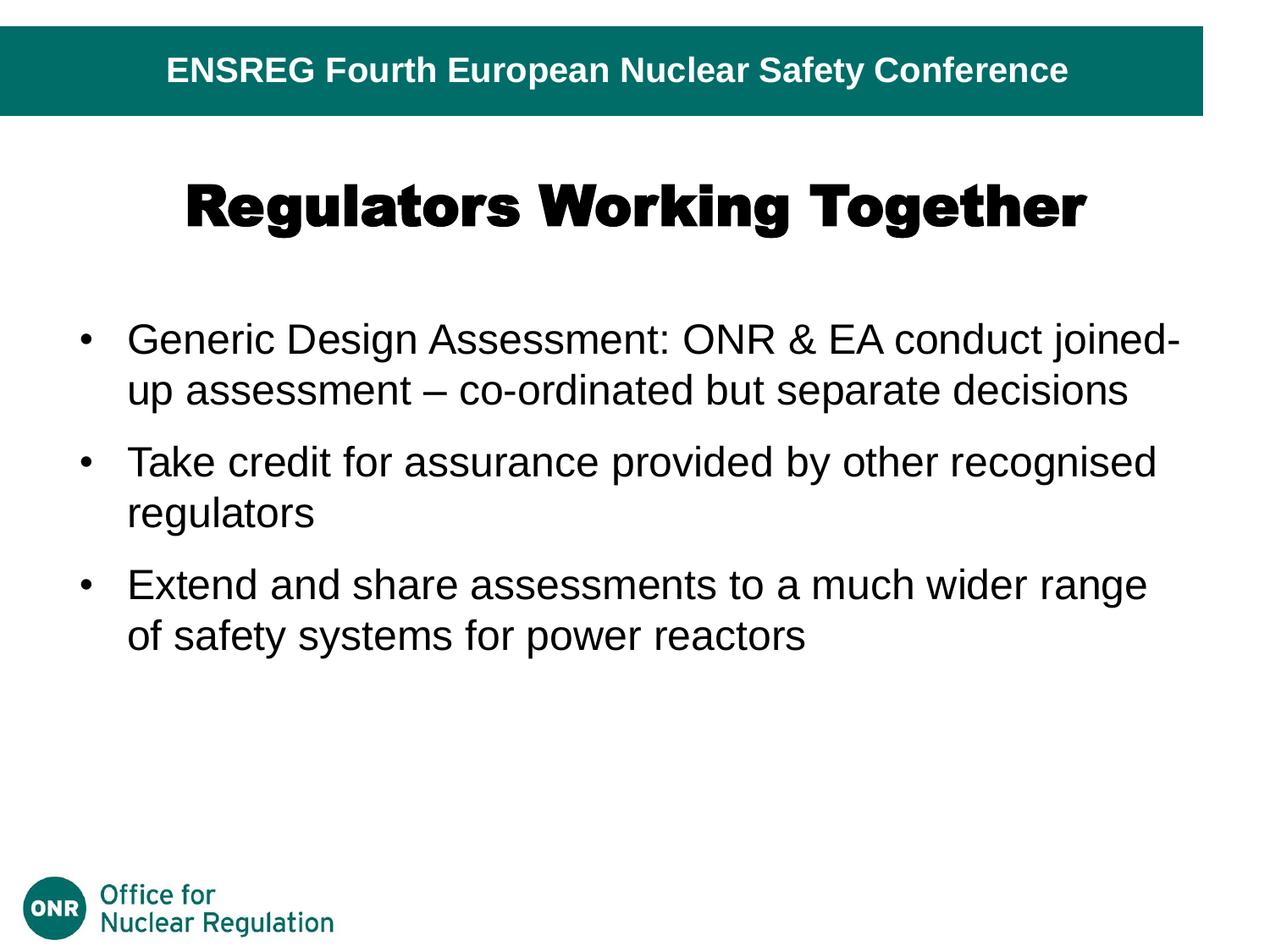# Regulators Working Together

- Generic Design Assessment: ONR & EA conduct joinedup assessment – co-ordinated but separate decisions
- Take credit for assurance provided by other recognised regulators
- Extend and share assessments to a much wider range of safety systems for power reactors

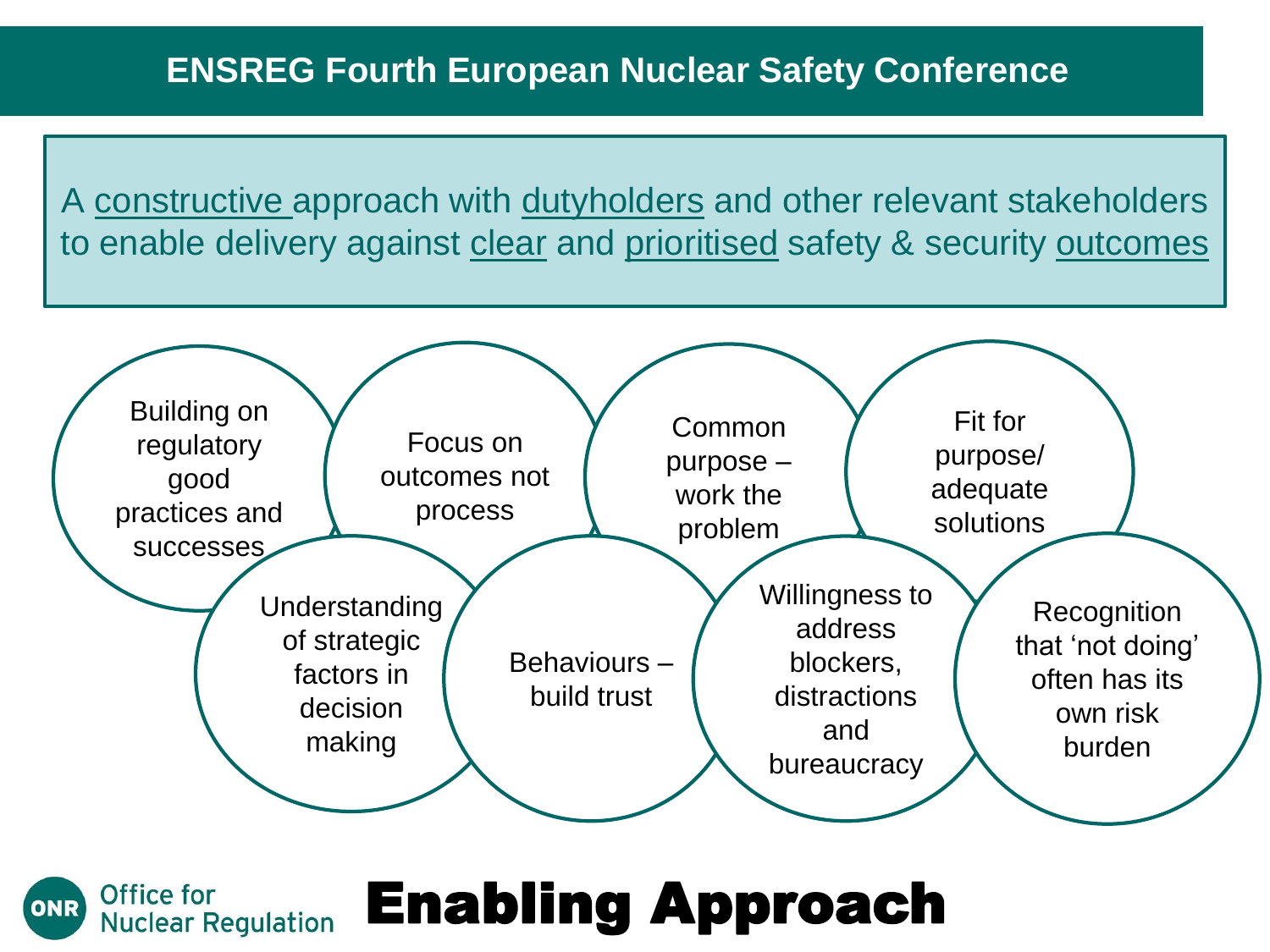A constructive approach with dutyholders and other relevant stakeholders to enable delivery against clear and prioritised safety & security outcomes



#### Enabling Approach **Nuclear Regulation**

Office for

ONR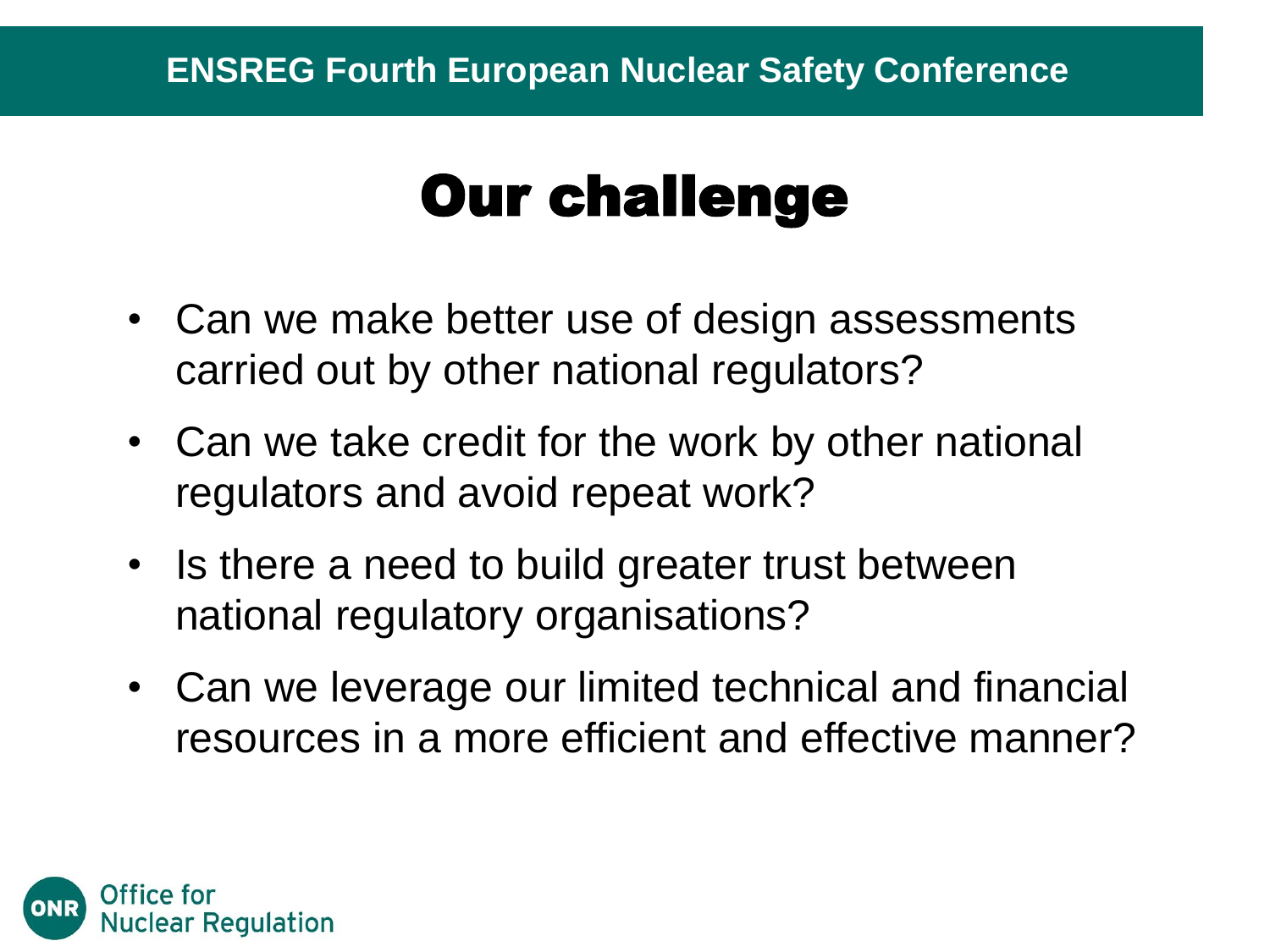# Our challenge

- Can we make better use of design assessments carried out by other national regulators?
- Can we take credit for the work by other national regulators and avoid repeat work?
- Is there a need to build greater trust between national regulatory organisations?
- Can we leverage our limited technical and financial resources in a more efficient and effective manner?